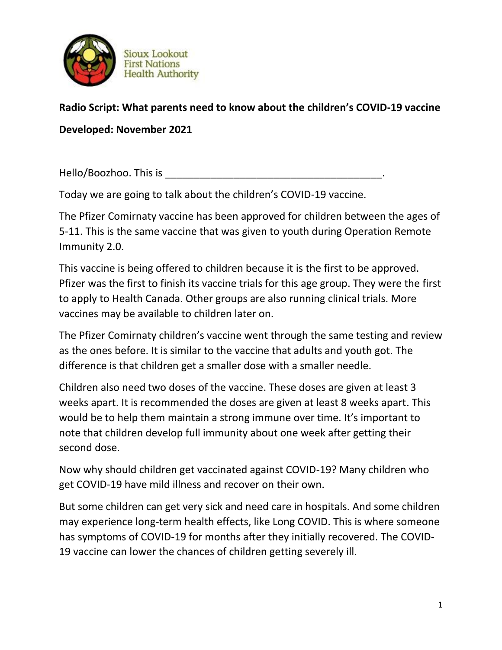

## **Radio Script: What parents need to know about the children's COVID-19 vaccine Developed: November 2021**

Hello/Boozhoo. This is \_\_\_\_\_\_\_\_\_\_\_\_\_\_\_\_\_\_\_\_\_\_\_\_\_\_\_\_\_\_\_\_\_\_\_\_\_\_.

Today we are going to talk about the children's COVID-19 vaccine.

The Pfizer Comirnaty vaccine has been approved for children between the ages of 5-11. This is the same vaccine that was given to youth during Operation Remote Immunity 2.0.

This vaccine is being offered to children because it is the first to be approved. Pfizer was the first to finish its vaccine trials for this age group. They were the first to apply to Health Canada. Other groups are also running clinical trials. More vaccines may be available to children later on.

The Pfizer Comirnaty children's vaccine went through the same testing and review as the ones before. It is similar to the vaccine that adults and youth got. The difference is that children get a smaller dose with a smaller needle.

Children also need two doses of the vaccine. These doses are given at least 3 weeks apart. It is recommended the doses are given at least 8 weeks apart. This would be to help them maintain a strong immune over time. It's important to note that children develop full immunity about one week after getting their second dose.

Now why should children get vaccinated against COVID-19? Many children who get COVID-19 have mild illness and recover on their own.

But some children can get very sick and need care in hospitals. And some children may experience long-term health effects, like Long COVID. This is where someone has symptoms of COVID-19 for months after they initially recovered. The COVID-19 vaccine can lower the chances of children getting severely ill.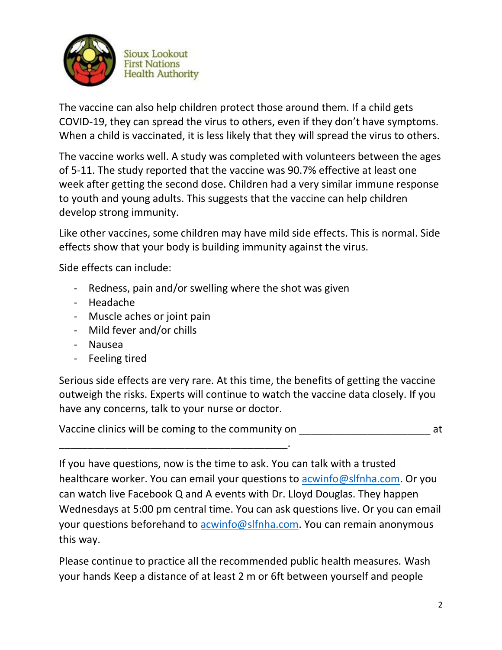

**Sioux Lookout First Nations Health Authority** 

The vaccine can also help children protect those around them. If a child gets COVID-19, they can spread the virus to others, even if they don't have symptoms. When a child is vaccinated, it is less likely that they will spread the virus to others.

The vaccine works well. A study was completed with volunteers between the ages of 5-11. The study reported that the vaccine was 90.7% effective at least one week after getting the second dose. Children had a very similar immune response to youth and young adults. This suggests that the vaccine can help children develop strong immunity.

Like other vaccines, some children may have mild side effects. This is normal. Side effects show that your body is building immunity against the virus.

Side effects can include:

- Redness, pain and/or swelling where the shot was given
- Headache
- Muscle aches or joint pain
- Mild fever and/or chills
- Nausea
- Feeling tired

Serious side effects are very rare. At this time, the benefits of getting the vaccine outweigh the risks. Experts will continue to watch the vaccine data closely. If you have any concerns, talk to your nurse or doctor.

Vaccine clinics will be coming to the community on  $\blacksquare$ 

\_\_\_\_\_\_\_\_\_\_\_\_\_\_\_\_\_\_\_\_\_\_\_\_\_\_\_\_\_\_\_\_\_\_\_\_\_\_\_\_. If you have questions, now is the time to ask. You can talk with a trusted healthcare worker. You can email your questions to [acwinfo@slfnha.com.](mailto:acwinfo@slfnha.com) Or you can watch live Facebook Q and A events with Dr. Lloyd Douglas. They happen Wednesdays at 5:00 pm central time. You can ask questions live. Or you can email your questions beforehand to [acwinfo@slfnha.com.](mailto:acwinfo@slfnha.com) You can remain anonymous this way.

Please continue to practice all the recommended public health measures. Wash your hands Keep a distance of at least 2 m or 6ft between yourself and people